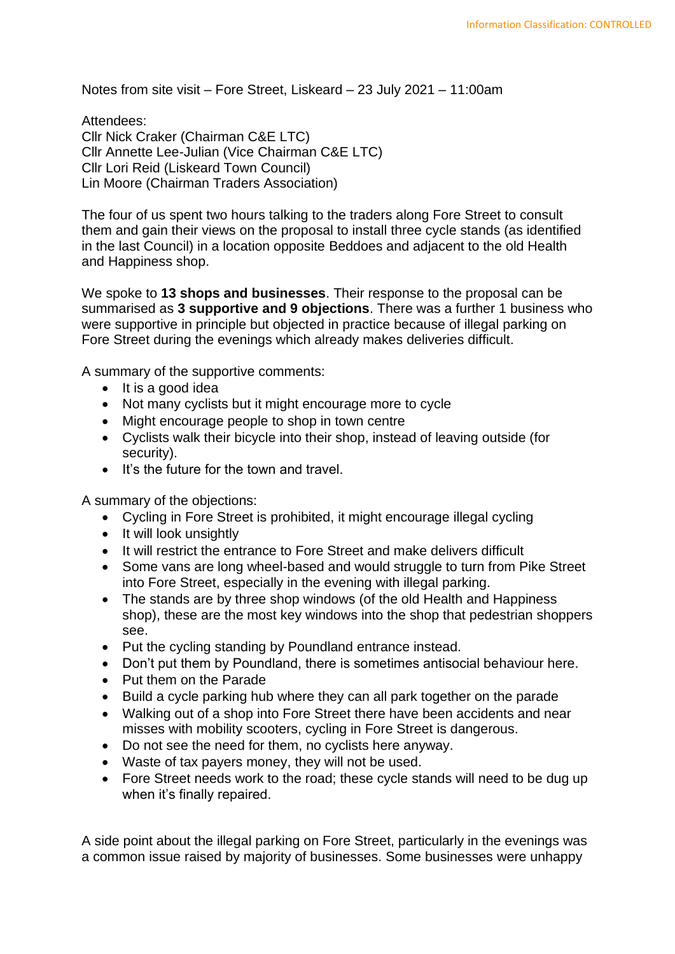Notes from site visit – Fore Street, Liskeard – 23 July 2021 – 11:00am

Attendees: Cllr Nick Craker (Chairman C&E LTC) Cllr Annette Lee-Julian (Vice Chairman C&E LTC) Cllr Lori Reid (Liskeard Town Council) Lin Moore (Chairman Traders Association)

The four of us spent two hours talking to the traders along Fore Street to consult them and gain their views on the proposal to install three cycle stands (as identified in the last Council) in a location opposite Beddoes and adjacent to the old Health and Happiness shop.

We spoke to **13 shops and businesses**. Their response to the proposal can be summarised as **3 supportive and 9 objections**. There was a further 1 business who were supportive in principle but objected in practice because of illegal parking on Fore Street during the evenings which already makes deliveries difficult.

A summary of the supportive comments:

- It is a good idea
- Not many cyclists but it might encourage more to cycle
- Might encourage people to shop in town centre
- Cyclists walk their bicycle into their shop, instead of leaving outside (for security).
- It's the future for the town and travel.

A summary of the objections:

- Cycling in Fore Street is prohibited, it might encourage illegal cycling
- It will look unsightly
- It will restrict the entrance to Fore Street and make delivers difficult
- Some vans are long wheel-based and would struggle to turn from Pike Street into Fore Street, especially in the evening with illegal parking.
- The stands are by three shop windows (of the old Health and Happiness shop), these are the most key windows into the shop that pedestrian shoppers see.
- Put the cycling standing by Poundland entrance instead.
- Don't put them by Poundland, there is sometimes antisocial behaviour here.
- Put them on the Parade
- Build a cycle parking hub where they can all park together on the parade
- Walking out of a shop into Fore Street there have been accidents and near misses with mobility scooters, cycling in Fore Street is dangerous.
- Do not see the need for them, no cyclists here anyway.
- Waste of tax payers money, they will not be used.
- Fore Street needs work to the road; these cycle stands will need to be dug up when it's finally repaired.

A side point about the illegal parking on Fore Street, particularly in the evenings was a common issue raised by majority of businesses. Some businesses were unhappy